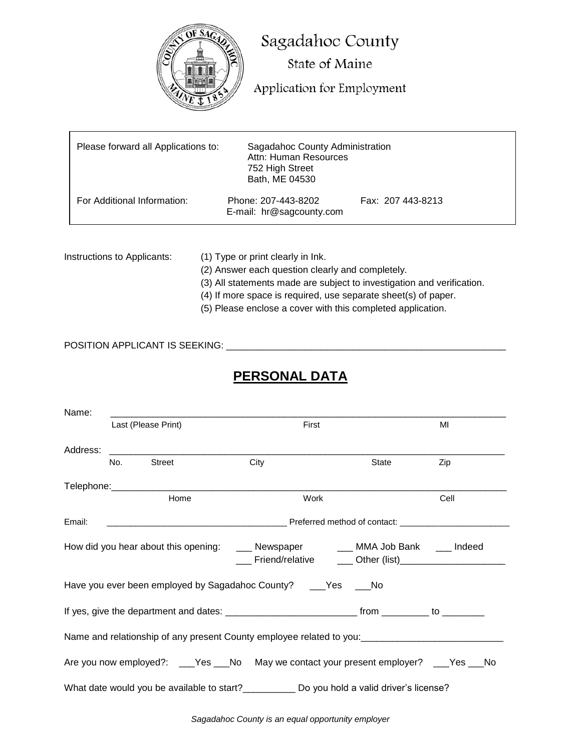

Ι

Sagadahoc County State of Maine

Application for Employment

| Please forward all Applications to: | Sagadahoc County Administration<br>Attn: Human Resources<br>752 High Street<br>Bath, ME 04530 |                   |
|-------------------------------------|-----------------------------------------------------------------------------------------------|-------------------|
| For Additional Information:         | Phone: 207-443-8202<br>E-mail: hr@sagcounty.com                                               | Fax: 207 443-8213 |

- Instructions to Applicants: (1) Type or print clearly in Ink.
	- (2) Answer each question clearly and completely.
	- (3) All statements made are subject to investigation and verification.
	- (4) If more space is required, use separate sheet(s) of paper.
	- (5) Please enclose a cover with this completed application.

## POSITION APPLICANT IS SEEKING: \_\_\_\_\_\_\_\_\_\_\_\_\_\_\_\_\_\_\_\_\_\_\_\_\_\_\_\_\_\_\_\_\_\_\_\_\_\_\_\_\_\_\_\_\_\_\_\_\_\_\_\_\_

# **PERSONAL DATA**

| Name:    |     |                                                                                                                       |                                                                                                      |       |      |
|----------|-----|-----------------------------------------------------------------------------------------------------------------------|------------------------------------------------------------------------------------------------------|-------|------|
|          |     | Last (Please Print)                                                                                                   | First                                                                                                |       | MI   |
| Address: |     | <u> 2001 - Jan Samuel Barbara, mendebat dan berasal dan berasal dari pertama dan berasal dari pertama dan berasal</u> |                                                                                                      |       |      |
|          | No. | <b>Street</b>                                                                                                         | City                                                                                                 | State | Zip  |
|          |     |                                                                                                                       |                                                                                                      |       |      |
|          |     | Home                                                                                                                  | Work                                                                                                 |       | Cell |
| Email:   |     |                                                                                                                       |                                                                                                      |       |      |
|          |     |                                                                                                                       | How did you hear about this opening: ____ Newspaper _____ MMA Job Bank ____ Indeed                   |       |      |
|          |     |                                                                                                                       | Have you ever been employed by Sagadahoc County? ___Yes ___No                                        |       |      |
|          |     |                                                                                                                       |                                                                                                      |       |      |
|          |     |                                                                                                                       | Name and relationship of any present County employee related to you: _______________________________ |       |      |
|          |     |                                                                                                                       | Are you now employed?: ___Yes ___No May we contact your present employer? ___Yes ___No               |       |      |
|          |     |                                                                                                                       | What date would you be available to start?_____________ Do you hold a valid driver's license?        |       |      |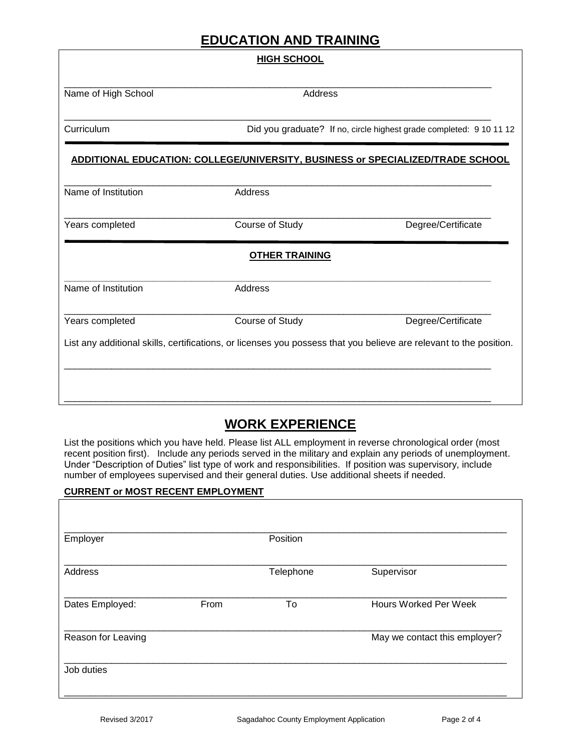# **EDUCATION AND TRAINING**

|                     | <b>HIGH SCHOOL</b>                                                                                                 |                                                                     |
|---------------------|--------------------------------------------------------------------------------------------------------------------|---------------------------------------------------------------------|
| Name of High School | Address                                                                                                            |                                                                     |
| Curriculum          |                                                                                                                    | Did you graduate? If no, circle highest grade completed: 9 10 11 12 |
|                     | ADDITIONAL EDUCATION: COLLEGE/UNIVERSITY, BUSINESS or SPECIALIZED/TRADE SCHOOL                                     |                                                                     |
| Name of Institution | Address                                                                                                            |                                                                     |
| Years completed     | Course of Study                                                                                                    | Degree/Certificate                                                  |
|                     | <b>OTHER TRAINING</b>                                                                                              |                                                                     |
| Name of Institution | Address                                                                                                            |                                                                     |
| Years completed     | Course of Study                                                                                                    | Degree/Certificate                                                  |
|                     | List any additional skills, certifications, or licenses you possess that you believe are relevant to the position. |                                                                     |
|                     |                                                                                                                    |                                                                     |
|                     |                                                                                                                    |                                                                     |

# **WORK EXPERIENCE**

List the positions which you have held. Please list ALL employment in reverse chronological order (most recent position first). Include any periods served in the military and explain any periods of unemployment. Under "Description of Duties" list type of work and responsibilities. If position was supervisory, include number of employees supervised and their general duties. Use additional sheets if needed.

#### **CURRENT or MOST RECENT EMPLOYMENT**

| Employer           |      | Position  |                               |
|--------------------|------|-----------|-------------------------------|
| Address            |      | Telephone | Supervisor                    |
| Dates Employed:    | From | To        | <b>Hours Worked Per Week</b>  |
| Reason for Leaving |      |           | May we contact this employer? |
| Job duties         |      |           |                               |
|                    |      |           |                               |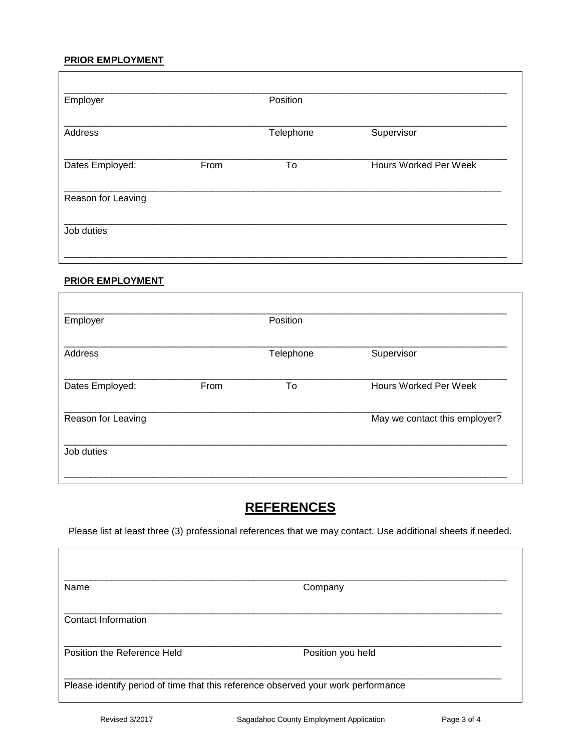### **PRIOR EMPLOYMENT**

| Employer           |      | Position  |                              |
|--------------------|------|-----------|------------------------------|
| Address            |      | Telephone | Supervisor                   |
| Dates Employed:    | From | To        | <b>Hours Worked Per Week</b> |
| Reason for Leaving |      |           |                              |
| Job duties         |      |           |                              |

### **PRIOR EMPLOYMENT**

| Employer           |      | Position  |                               |
|--------------------|------|-----------|-------------------------------|
| Address            |      | Telephone | Supervisor                    |
| Dates Employed:    | From | To        | <b>Hours Worked Per Week</b>  |
| Reason for Leaving |      |           | May we contact this employer? |
| Job duties         |      |           |                               |

# **REFERENCES**

Please list at least three (3) professional references that we may contact. Use additional sheets if needed.

| Name                        | Company           |  |
|-----------------------------|-------------------|--|
| Contact Information         |                   |  |
| Position the Reference Held | Position you held |  |

Г